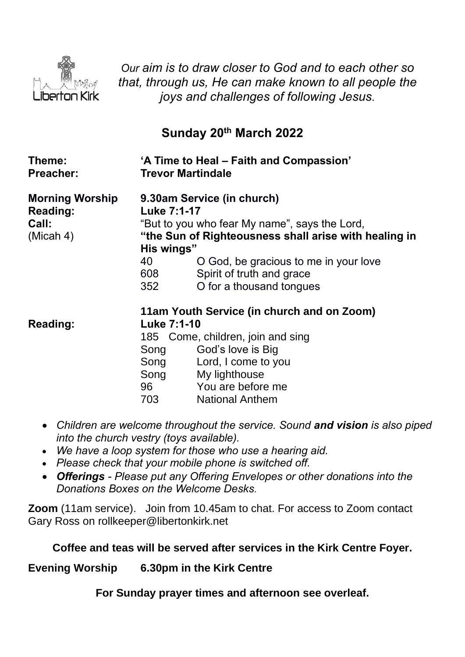

*Our aim is to draw closer to God and to each other so that, through us, He can make known to all people the joys and challenges of following Jesus.*

## **Sunday 20th March 2022**

| Theme:<br><b>Preacher:</b>                                      | <b>Trevor Martindale</b>                               | 'A Time to Heal – Faith and Compassion'                                                                                                                                                                                                |
|-----------------------------------------------------------------|--------------------------------------------------------|----------------------------------------------------------------------------------------------------------------------------------------------------------------------------------------------------------------------------------------|
| <b>Morning Worship</b><br><b>Reading:</b><br>Call:<br>(Micah 4) | <b>Luke 7:1-17</b><br>His wings"<br>40<br>608<br>352   | 9.30am Service (in church)<br>"But to you who fear My name", says the Lord,<br>"the Sun of Righteousness shall arise with healing in<br>O God, be gracious to me in your love<br>Spirit of truth and grace<br>O for a thousand tongues |
| Reading:                                                        | <b>Luke 7:1-10</b><br>Song<br>Song<br>Song<br>703 — 10 | 11am Youth Service (in church and on Zoom)<br>185 Come, children, join and sing<br>God's love is Big<br>Lord, I come to you<br>My lighthouse<br>96 You are before me<br><b>National Anthem</b>                                         |

- *Children are welcome throughout the service. Sound and vision is also piped into the church vestry (toys available).*
- *We have a loop system for those who use a hearing aid.*
- *Please check that your mobile phone is switched off.*
- *Offerings - Please put any Offering Envelopes or other donations into the Donations Boxes on the Welcome Desks.*

**Zoom** (11am service).Join from 10.45am to chat. For access to Zoom contact Gary Ross on rollkeeper@libertonkirk.net

## **Coffee and teas will be served after services in the Kirk Centre Foyer.**

**Evening Worship 6.30pm in the Kirk Centre**

**For Sunday prayer times and afternoon see overleaf.**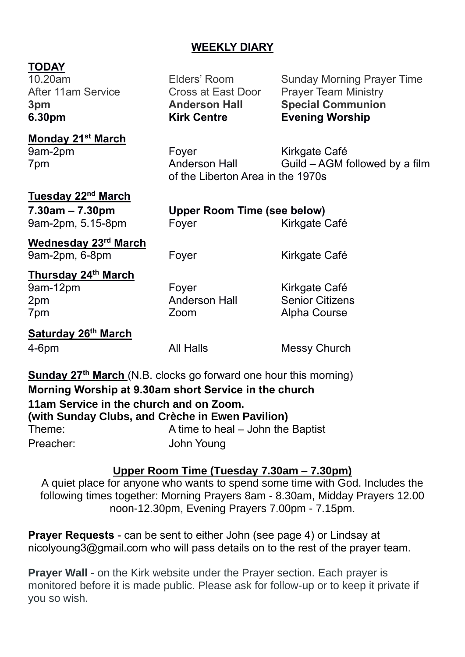## **WEEKLY DIARY**

# **TODAY**<br>10.20am

**Monday 21st March**

**6.30pm Kirk Centre Evening Worship**

Elders' Room Sunday Morning Prayer Time After 11am Service **Cross at East Door** Prayer Team Ministry **3pm Anderson Hall Special Communion**

9am-2pm Foyer Fore Kirkgate Café 7pm Anderson Hall Guild – AGM followed by a film of the Liberton Area in the 1970s

## **Tuesday 22nd March**

**7.30am – 7.30pm Upper Room Time (see below)** 9am-2pm, 5.15-8pm Foyer Form Kirkgate Café

**Wednesday 23rd March** 9am-2pm, 6-8pm Foyer Form Kirkgate Café

**Thursday 24th March** 2pm Anderson Hall Senior Citizens 7pm Zoom Alpha Course

Foyer Kirkgate Café

**Saturday 26th March** 4-6pm All Halls Messy Church

**Sunday 27<sup>th</sup> March** (N.B. clocks go forward one hour this morning) **Morning Worship at 9.30am short Service in the church 11am Service in the church and on Zoom. (with Sunday Clubs, and Crèche in Ewen Pavilion)** Theme: A time to heal – John the Baptist Preacher: John Young

## **Upper Room Time (Tuesday 7.30am – 7.30pm)**

A quiet place for anyone who wants to spend some time with God. Includes the following times together: Morning Prayers 8am - 8.30am, Midday Prayers 12.00 noon-12.30pm, Evening Prayers 7.00pm - 7.15pm.

**Prayer Requests** - can be sent to either John (see page 4) or Lindsay at [nicolyoung3@gmail.com](mailto:nicolyoung3@gmail.com) who will pass details on to the rest of the prayer team.

**Prayer Wall -** on the Kirk website under the Prayer section. Each prayer is monitored before it is made public. Please ask for follow-up or to keep it private if you so wish.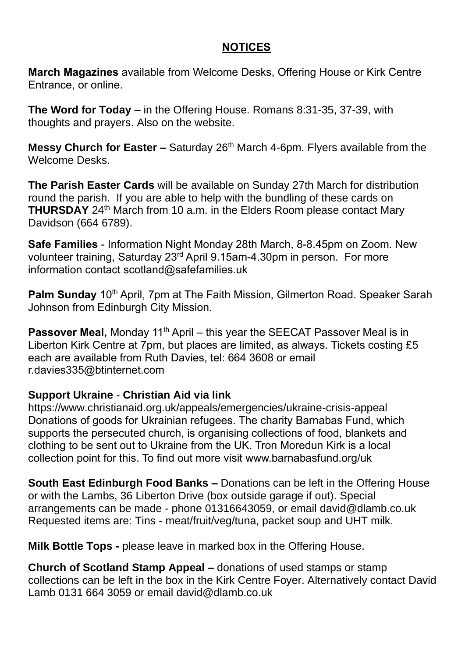## **NOTICES**

**March Magazines** available from Welcome Desks, Offering House or Kirk Centre Entrance, or online.

**The Word for Today –** in the Offering House. Romans 8:31-35, 37-39, with thoughts and prayers. Also on the website.

**Messy Church for Easter –** Saturday 26<sup>th</sup> March 4-6pm. Flyers available from the Welcome Desks.

**The Parish Easter Cards** will be available on Sunday 27th March for distribution round the parish. If you are able to help with the bundling of these cards on **THURSDAY** 24<sup>th</sup> March from 10 a.m. in the Elders Room please contact Mary Davidson (664 6789).

**Safe Families** - Information Night Monday 28th March, 8-8.45pm on Zoom. New volunteer training, Saturday 23rd April 9.15am-4.30pm in person. For more information contact [scotland@safefamilies.uk](mailto:scotland@safefamilies.uk)

**Palm Sunday** 10<sup>th</sup> April, 7pm at The Faith Mission, Gilmerton Road. Speaker Sarah Johnson from Edinburgh City Mission.

**Passover Meal, Monday 11<sup>th</sup> April – this year the SEECAT Passover Meal is in** Liberton Kirk Centre at 7pm, but places are limited, as always. Tickets costing £5 each are available from Ruth Davies, tel: 664 3608 or email [r.davies335@btinternet.com](mailto:r.davies335@btinternet.com)

#### **Support Ukraine** - **Christian Aid via link**

<https://www.christianaid.org.uk/appeals/emergencies/ukraine-crisis-appeal> Donations of goods for Ukrainian refugees. The charity Barnabas Fund, which supports the persecuted church, is organising collections of food, blankets and clothing to be sent out to Ukraine from the UK. Tron Moredun Kirk is a local collection point for this. To find out more visit [www.barnabasfund.org/uk](http://www.barnabasfund.org/uk) 

**South East Edinburgh Food Banks –** Donations can be left in the Offering House or with the Lambs, 36 Liberton Drive (box outside garage if out). Special arrangements can be made - phone 01316643059, or email [david@dlamb.co.uk](mailto:david@dlamb.co.uk)  Requested items are: Tins - meat/fruit/veg/tuna, packet soup and UHT milk.

**Milk Bottle Tops -** please leave in marked box in the Offering House.

**Church of Scotland Stamp Appeal –** donations of used stamps or stamp collections can be left in the box in the Kirk Centre Foyer. Alternatively contact David Lamb 0131 664 3059 or email [david@dlamb.co.uk](mailto:david@dlamb.co.uk)